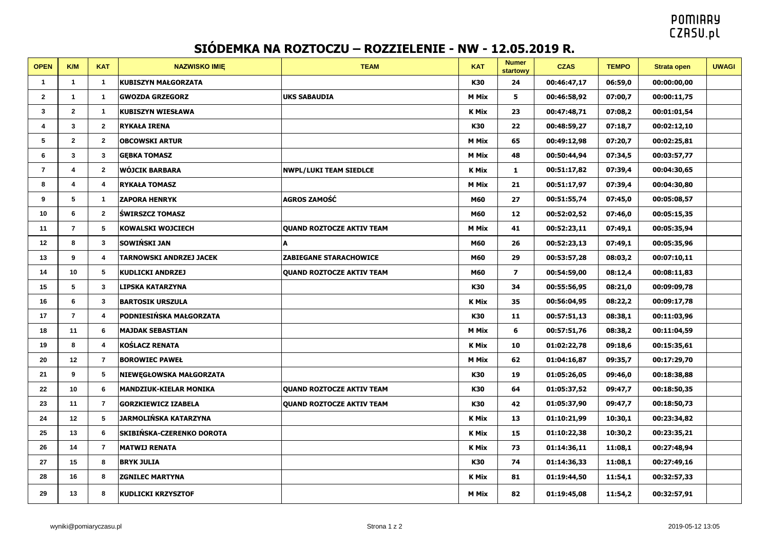## **POMIARY CZASU.pl**

## **SIÓDEMKA NA ROZTOCZU – ROZZIELENIE - NW - 12.05.2019 R.**

| <b>OPEN</b>    | K/M            | <b>KAT</b>              | <b>NAZWISKO IMIE</b>           | <b>TEAM</b>                      | <b>KAT</b>   | <b>Numer</b><br><b>startowy</b> | <b>CZAS</b> | <b>TEMPO</b> | <b>Strata open</b> | <b>UWAGI</b> |
|----------------|----------------|-------------------------|--------------------------------|----------------------------------|--------------|---------------------------------|-------------|--------------|--------------------|--------------|
| 1              | $\mathbf 1$    | $\mathbf{1}$            | <b>KUBISZYN MAŁGORZATA</b>     |                                  | K30          | 24                              | 00:46:47,17 | 06:59,0      | 00:00:00,00        |              |
| $\mathbf{2}$   | $\mathbf{1}$   | $\mathbf{1}$            | <b>GWOZDA GRZEGORZ</b>         | <b>UKS SABAUDIA</b>              | <b>M Mix</b> | 5                               | 00:46:58,92 | 07:00,7      | 00:00:11,75        |              |
| 3              | $\mathbf{2}$   | $\mathbf{1}$            | <b>KUBISZYN WIESŁAWA</b>       |                                  | <b>K Mix</b> | 23                              | 00:47:48,71 | 07:08,2      | 00:01:01,54        |              |
| 4              | $\mathbf{3}$   | $\mathbf{2}$            | <b>RYKAŁA IRENA</b>            |                                  | K30          | 22                              | 00:48:59,27 | 07:18,7      | 00:02:12,10        |              |
| 5              | $\mathbf{2}$   | $\mathbf{2}$            | <b>OBCOWSKI ARTUR</b>          |                                  | <b>M Mix</b> | 65                              | 00:49:12,98 | 07:20,7      | 00:02:25,81        |              |
| 6              | $\mathbf{3}$   | 3                       | <b>GEBKA TOMASZ</b>            |                                  | <b>M Mix</b> | 48                              | 00:50:44,94 | 07:34,5      | 00:03:57,77        |              |
| $\overline{7}$ | 4              | $\mathbf{2}$            | WÓJCIK BARBARA                 | <b>NWPL/LUKI TEAM SIEDLCE</b>    | <b>K Mix</b> | $\mathbf{1}$                    | 00:51:17,82 | 07:39,4      | 00:04:30,65        |              |
| 8              | 4              | $\overline{4}$          | <b>RYKAŁA TOMASZ</b>           |                                  | <b>M Mix</b> | 21                              | 00:51:17,97 | 07:39,4      | 00:04:30,80        |              |
| 9              | 5              | $\mathbf{1}$            | <b>ZAPORA HENRYK</b>           | AGROS ZAMOŚĆ                     | M60          | 27                              | 00:51:55,74 | 07:45,0      | 00:05:08,57        |              |
| 10             | 6              | $\mathbf{2}$            | <b>ŚWIRSZCZ TOMASZ</b>         |                                  | M60          | 12                              | 00:52:02,52 | 07:46,0      | 00:05:15,35        |              |
| 11             | $\overline{7}$ | 5                       | <b>KOWALSKI WOJCIECH</b>       | <b>QUAND ROZTOCZE AKTIV TEAM</b> | <b>M Mix</b> | 41                              | 00:52:23,11 | 07:49,1      | 00:05:35,94        |              |
| 12             | 8              | 3                       | <b>SOWIŃSKI JAN</b>            | A                                | M60          | 26                              | 00:52:23,13 | 07:49,1      | 00:05:35,96        |              |
| 13             | 9              | $\overline{4}$          | <b>TARNOWSKI ANDRZEJ JACEK</b> | <b>ZABIEGANE STARACHOWICE</b>    | M60          | 29                              | 00:53:57,28 | 08:03,2      | 00:07:10,11        |              |
| 14             | 10             | 5                       | <b>KUDLICKI ANDRZEJ</b>        | <b>QUAND ROZTOCZE AKTIV TEAM</b> | M60          | $\overline{\mathbf{z}}$         | 00:54:59,00 | 08:12,4      | 00:08:11,83        |              |
| 15             | 5              | $\mathbf{3}$            | LIPSKA KATARZYNA               |                                  | K30          | 34                              | 00:55:56,95 | 08:21,0      | 00:09:09,78        |              |
| 16             | 6              | 3                       | <b>BARTOSIK URSZULA</b>        |                                  | <b>K Mix</b> | 35                              | 00:56:04,95 | 08:22,2      | 00:09:17,78        |              |
| 17             | $\overline{7}$ | $\overline{4}$          | PODNIESIŃSKA MAŁGORZATA        |                                  | K30          | 11                              | 00:57:51,13 | 08:38,1      | 00:11:03,96        |              |
| 18             | 11             | 6                       | <b>MAJDAK SEBASTIAN</b>        |                                  | <b>M Mix</b> | 6                               | 00:57:51,76 | 08:38,2      | 00:11:04,59        |              |
| 19             | 8              | $\overline{\mathbf{4}}$ | <b>KOŚLACZ RENATA</b>          |                                  | <b>K Mix</b> | 10                              | 01:02:22,78 | 09:18,6      | 00:15:35,61        |              |
| 20             | 12             | $\overline{7}$          | <b>BOROWIEC PAWEŁ</b>          |                                  | <b>M Mix</b> | 62                              | 01:04:16,87 | 09:35,7      | 00:17:29,70        |              |
| 21             | 9              | 5                       | NIEWEGŁOWSKA MAŁGORZATA        |                                  | K30          | 19                              | 01:05:26,05 | 09:46,0      | 00:18:38,88        |              |
| 22             | 10             | 6                       | <b>MANDZIUK-KIELAR MONIKA</b>  | <b>QUAND ROZTOCZE AKTIV TEAM</b> | K30          | 64                              | 01:05:37,52 | 09:47,7      | 00:18:50,35        |              |
| 23             | 11             | $\overline{7}$          | <b>GORZKIEWICZ IZABELA</b>     | <b>QUAND ROZTOCZE AKTIV TEAM</b> | K30          | 42                              | 01:05:37,90 | 09:47,7      | 00:18:50,73        |              |
| 24             | 12             | 5                       | <b>JARMOLIŃSKA KATARZYNA</b>   |                                  | <b>K Mix</b> | 13                              | 01:10:21,99 | 10:30,1      | 00:23:34,82        |              |
| 25             | 13             | 6                       | SKIBIŃSKA-CZERENKO DOROTA      |                                  | <b>K Mix</b> | 15                              | 01:10:22,38 | 10:30,2      | 00:23:35,21        |              |
| 26             | 14             | $\overline{7}$          | <b>MATWIJ RENATA</b>           |                                  | <b>K Mix</b> | 73                              | 01:14:36,11 | 11:08,1      | 00:27:48,94        |              |
| 27             | 15             | 8                       | <b>BRYK JULIA</b>              |                                  | K30          | 74                              | 01:14:36,33 | 11:08,1      | 00:27:49,16        |              |
| 28             | 16             | 8                       | <b>ZGNILEC MARTYNA</b>         |                                  | <b>K Mix</b> | 81                              | 01:19:44,50 | 11:54,1      | 00:32:57,33        |              |
| 29             | 13             | 8                       | <b>KUDLICKI KRZYSZTOF</b>      |                                  | <b>M Mix</b> | 82                              | 01:19:45,08 | 11:54,2      | 00:32:57,91        |              |